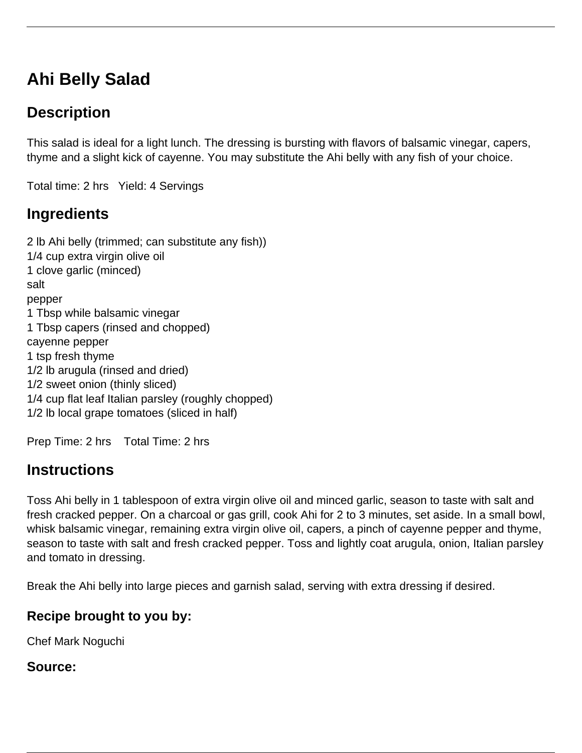# **Ahi Belly Salad**

## **Description**

This salad is ideal for a light lunch. The dressing is bursting with flavors of balsamic vinegar, capers, thyme and a slight kick of cayenne. You may substitute the Ahi belly with any fish of your choice.

Total time: 2 hrs Yield: 4 Servings

### **Ingredients**

2 lb Ahi belly (trimmed; can substitute any fish)) 1/4 cup extra virgin olive oil 1 clove garlic (minced) salt pepper 1 Tbsp while balsamic vinegar 1 Tbsp capers (rinsed and chopped) cayenne pepper 1 tsp fresh thyme 1/2 lb arugula (rinsed and dried) 1/2 sweet onion (thinly sliced) 1/4 cup flat leaf Italian parsley (roughly chopped) 1/2 lb local grape tomatoes (sliced in half)

Prep Time: 2 hrs Total Time: 2 hrs

### **Instructions**

Toss Ahi belly in 1 tablespoon of extra virgin olive oil and minced garlic, season to taste with salt and fresh cracked pepper. On a charcoal or gas grill, cook Ahi for 2 to 3 minutes, set aside. In a small bowl, whisk balsamic vinegar, remaining extra virgin olive oil, capers, a pinch of cayenne pepper and thyme, season to taste with salt and fresh cracked pepper. Toss and lightly coat arugula, onion, Italian parsley and tomato in dressing.

Break the Ahi belly into large pieces and garnish salad, serving with extra dressing if desired.

#### **Recipe brought to you by:**

Chef Mark Noguchi

#### **Source:**